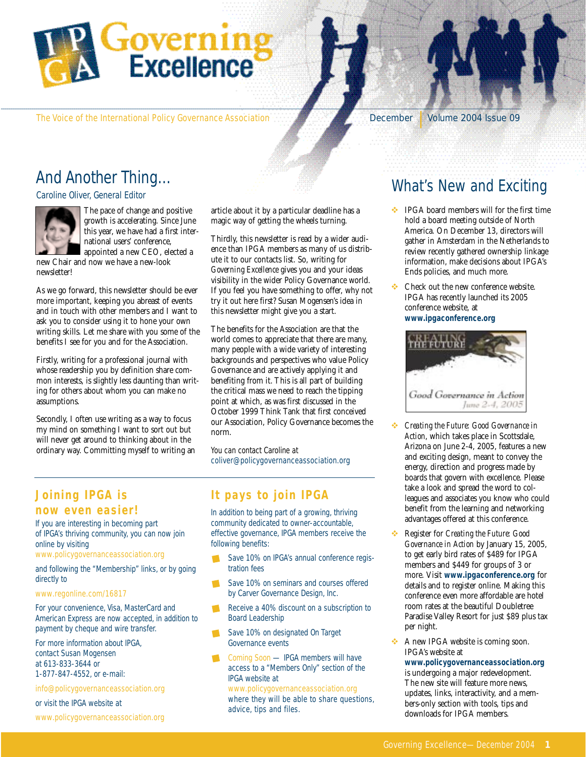

The Voice of the International Policy Governance Association December 1 | Volume 2004 Issue 09

### And Another Thing…

Caroline Oliver, General Editor



The pace of change and positive growth is accelerating. Since June this year, we have had a first international users' conference, appointed a new CEO, elected a

new Chair and now we have a new-look newsletter!

As we go forward, this newsletter should be ever more important, keeping you abreast of events and in touch with other members and I want to ask you to consider using it to hone your own writing skills. Let me share with you some of the benefits I see for you and for the Association.

Firstly, writing for a professional journal with whose readership you by definition share common interests, is slightly less daunting than writing for others about whom you can make no assumptions.

Secondly, I often use writing as a way to focus my mind on something I want to sort out but will never get around to thinking about in the ordinary way. Committing myself to writing an article about it by a particular deadline has a magic way of getting the wheels turning.

Thirdly, this newsletter is read by a wider audience than IPGA members as many of us distribute it to our contacts list. So, writing for *Governing Excellence* gives you and your ideas visibility in the wider Policy Governance world. If you feel you have something to offer, why not try it out here first? Susan Mogensen's idea in this newsletter might give you a start.

The benefits for the Association are that the world comes to appreciate that there are many, many people with a wide variety of interesting backgrounds and perspectives who value Policy Governance and are actively applying it and benefiting from it. This is all part of building the critical mass we need to reach the tipping point at which, as was first discussed in the October 1999 Think Tank that first conceived our Association, Policy Governance becomes the norm.

You can contact Caroline at coliver@policygovernanceassociation.org

#### **Joining IPGA is now even easier!**

If you are interesting in becoming part of IPGA's thriving community, you can now join online by visiting

www.policygovernanceassociation.org

and following the "Membership" links, or by going directly to

#### www.regonline.com/16817

For your convenience, Visa, MasterCard and American Express are now accepted, in addition to payment by cheque and wire transfer.

For more information about IPGA, contact Susan Mogensen at 613-833-3644 or 1-877-847-4552, or e-mail:

info@policygovernanceassociation.org

or visit the IPGA website at

www.policygovernanceassociation.org

#### **It pays to join IPGA**

In addition to being part of a growing, thriving community dedicated to owner-accountable, effective governance, IPGA members receive the following benefits:

- Save 10% on IPGA's annual conference registration fees
- Save 10% on seminars and courses offered by Carver Governance Design, Inc.
- Receive a 40% discount on a subscription to Board Leadership
- Save 10% on designated On Target Governance events
- Coming Soon IPGA members will have access to a "Members Only" section of the IPGA website at www.policygovernanceassociation.org

where they will be able to share questions, advice, tips and files.

#### What's New and Exciting

- $\div$  IPGA board members will for the first time hold a board meeting outside of North America. On December 13, directors will gather in Amsterdam in the Netherlands to review recently gathered ownership linkage information, make decisions about IPGA's Ends policies, and much more.
- $\bullet\bullet$  Check out the new conference website. IPGA has recently launched its 2005 conference website, at **www.ipgaconference.org**



- *Creating the Future: Good Governance in Action*, which takes place in Scottsdale, Arizona on June 2-4, 2005, features a new and exciting design, meant to convey the energy, direction and progress made by boards that govern with excellence. Please take a look and spread the word to colleagues and associates you know who could benefit from the learning and networking advantages offered at this conference.
- v Register for *Creating the Future: Good Governance in Action* by January 15, 2005, to get early bird rates of \$489 for IPGA members and \$449 for groups of 3 or more. Visit **www.ipgaconference.org** for details and to register online. Making this conference even more affordable are hotel room rates at the beautiful Doubletree Paradise Valley Resort for just \$89 plus tax per night.
- A new IPGA website is coming soon. IPGA's website at **www.policygovernanceassociation.org** is undergoing a major redevelopment. The new site will feature more news, updates, links, interactivity, and a members-only section with tools, tips and downloads for IPGA members.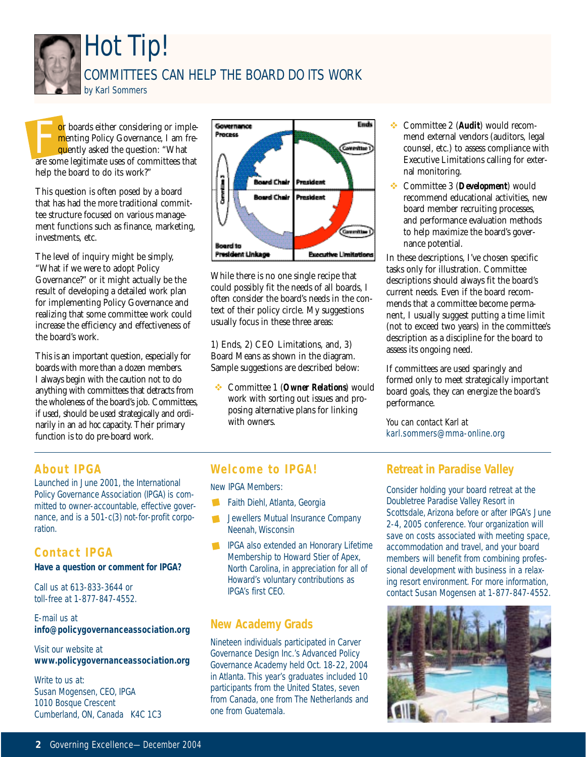

For boards either considering or implementing Policy Governance, I am frequently asked the question: "What are some legitimate uses of committees that <mark>m</mark>enting Policy Governance, I am frequently asked the question: "What are some legitimate uses of committees that help the board to do its work?"

This question is often posed by a board that has had the more traditional committee structure focused on various management functions such as finance, marketing, investments, etc.

The level of inquiry might be simply, "What if we were to adopt Policy Governance?" or it might actually be the result of developing a detailed work plan for implementing Policy Governance and realizing that some committee work could increase the efficiency and effectiveness of the board's work.

This is an important question, especially for boards with more than a dozen members. I always begin with the caution not to do anything with committees that detracts from the wholeness of the board's job. Committees, if used, should be used strategically and ordinarily in an *ad hoc* capacity. Their primary function is to do pre-board work.



While there is no one single recipe that could possibly fit the needs of all boards, I often consider the board's needs in the context of their policy circle. My suggestions usually focus in these three areas:

1) Ends, 2) CEO Limitations, and, 3) Board Means as shown in the diagram. Sample suggestions are described below:

v Committee 1 (*Owner Relations*) would work with sorting out issues and proposing alternative plans for linking with owners.

- v Committee 2 (*Audit*) would recommend external vendors (auditors, legal counsel, etc.) to assess compliance with Executive Limitations calling for external monitoring.
- v Committee 3 (*Development*) would recommend educational activities, new board member recruiting processes, and performance evaluation methods to help maximize the board's governance potential.

In these descriptions, I've chosen specific tasks only for illustration. Committee descriptions should always fit the board's current needs. Even if the board recommends that a committee become permanent, I usually suggest putting a time limit (not to exceed two years) in the committee's description as a discipline for the board to assess its ongoing need.

If committees are used sparingly and formed only to meet strategically important board goals, they can energize the board's performance.

You can contact Karl at karl.sommers@mma-online.org

#### **About IPGA**

Launched in June 2001, the International Policy Governance Association (IPGA) is committed to owner-accountable, effective governance, and is a 501-c(3) not-for-profit corporation.

#### **Contact IPGA**

**Have a question or comment for IPGA?**

Call us at 613-833-3644 or toll-free at 1-877-847-4552.

E-mail us at **info@policygovernanceassociation.org**

Visit our website at **www.policygovernanceassociation.org**

Write to us at: Susan Mogensen, CEO, IPGA 1010 Bosque Crescent Cumberland, ON, Canada K4C 1C3

#### **Welcome to IPGA!**

New IPGA Members:

- Faith Diehl, Atlanta, Georgia
- $\mathcal{L}$ Jewellers Mutual Insurance Company Neenah, Wisconsin
- IPGA also extended an Honorary Lifetime Membership to Howard Stier of Apex, North Carolina, in appreciation for all of Howard's voluntary contributions as IPGA's first CEO.

#### **New Academy Grads**

Nineteen individuals participated in Carver Governance Design Inc.'s Advanced Policy Governance Academy held Oct. 18-22, 2004 in Atlanta. This year's graduates included 10 participants from the United States, seven from Canada, one from The Netherlands and one from Guatemala.

#### **Retreat in Paradise Valley**

Consider holding your board retreat at the Doubletree Paradise Valley Resort in Scottsdale, Arizona before or after IPGA's June 2-4, 2005 conference. Your organization will save on costs associated with meeting space, accommodation and travel, and your board members will benefit from combining professional development with business in a relaxing resort environment. For more information, contact Susan Mogensen at 1-877-847-4552.

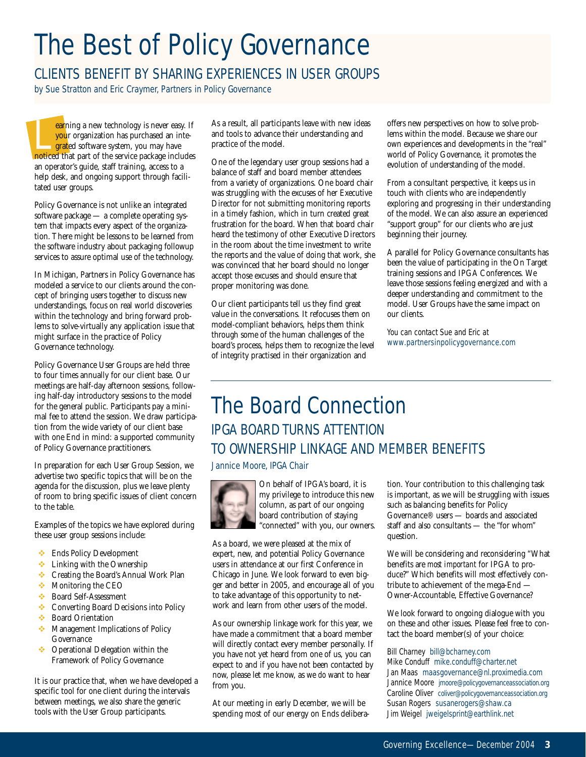# The Best of Policy Governance

#### CLIENTS BENEFIT BY SHARING EXPERIENCES IN USER GROUPS

by Sue Stratton and Eric Craymer, Partners in Policy Governance

earning a new technology is never easy. If your organization has purchased an inte**grated software system, you may have** noticed that part of the service package includes an operator's guide, staff training, access to a help desk, and ongoing support through facilitated user groups.

Policy Governance is not unlike an integrated software package — a complete operating system that impacts every aspect of the organization. There might be lessons to be learned from the software industry about packaging followup services to assure optimal use of the technology.

In Michigan, Partners in Policy Governance has modeled a service to our clients around the concept of bringing users together to discuss new understandings, focus on real world discoveries within the technology and bring forward problems to solve-virtually any application issue that might surface in the practice of Policy Governance technology.

Policy Governance User Groups are held three to four times annually for our client base. Our meetings are half-day afternoon sessions, following half-day introductory sessions to the model for the general public. Participants pay a minimal fee to attend the session. We draw participation from the wide variety of our client base with one End in mind: a supported community of Policy Governance practitioners.

In preparation for each User Group Session, we advertise two specific topics that will be on the agenda for the discussion, plus we leave plenty of room to bring specific issues of client concern to the table.

Examples of the topics we have explored during these user group sessions include:

- **Ends Policy Development**
- $\cdot$  Linking with the Ownership
- **◆** Creating the Board's Annual Work Plan
- Monitoring the CEO
- v Board Self-Assessment
- **↓** Converting Board Decisions into Policy
- **❖** Board Orientation
- **Management Implications of Policy** Governance
- ◆ Operational Delegation within the Framework of Policy Governance

It is our practice that, when we have developed a specific tool for one client during the intervals between meetings, we also share the generic tools with the User Group participants.

As a result, all participants leave with new ideas and tools to advance their understanding and practice of the model.

One of the legendary user group sessions had a balance of staff and board member attendees from a variety of organizations. One board chair was struggling with the excuses of her Executive Director for not submitting monitoring reports in a timely fashion, which in turn created great frustration for the board. When that board chair heard the testimony of other Executive Directors in the room about the time investment to write the reports and the value of doing that work, she was convinced that her board should no longer accept those excuses and should ensure that proper monitoring was done.

Our client participants tell us they find great value in the conversations. It refocuses them on model-compliant behaviors, helps them think through some of the human challenges of the board's process, helps them to recognize the level of integrity practised in their organization and

offers new perspectives on how to solve problems within the model. Because we share our own experiences and developments in the "real" world of Policy Governance, it promotes the evolution of understanding of the model.

From a consultant perspective, it keeps us in touch with clients who are independently exploring and progressing in their understanding of the model. We can also assure an experienced "support group" for our clients who are just beginning their journey.

A parallel for Policy Governance consultants has been the value of participating in the On Target training sessions and IPGA Conferences. We leave those sessions feeling energized and with a deeper understanding and commitment to the model. User Groups have the same impact on our clients.

You can contact Sue and Eric at www.partnersinpolicygovernance.com

### The Board Connection IPGA BOARD TURNS ATTENTION TO OWNERSHIP LINKAGE AND MEMBER BENEFITS

Jannice Moore, IPGA Chair



On behalf of IPGA's board, it is my privilege to introduce this new column, as part of our ongoing board contribution of staying "connected" with you, our owners.

As a board, we were pleased at the mix of expert, new, and potential Policy Governance users in attendance at our first Conference in Chicago in June. We look forward to even bigger and better in 2005, and encourage all of you to take advantage of this opportunity to network and learn from other users of the model.

As our ownership linkage work for this year, we have made a commitment that a board member will directly contact every member personally. If you have not yet heard from one of us, you can expect to and if you have not been contacted by now, please let me know, as we *do* want to hear from you.

At our meeting in early December, we will be spending most of our energy on Ends deliberation. Your contribution to this challenging task is important, as we will be struggling with issues such as balancing benefits for Policy Governance® users — boards and associated staff and also consultants — the "for whom" question.

We will be considering and reconsidering "What benefits are *most important* for IPGA to produce?" Which benefits will most effectively contribute to achievement of the mega-End — Owner-Accountable, Effective Governance?

We look forward to ongoing dialogue with you on these and other issues. Please feel free to contact the board member(s) of your choice:

Bill Charney bill@bcharney.com Mike Conduff mike.conduff@charter.net Jan Maas maasgovernance@nl.proximedia.com Jannice Moore jmoore@policygovernanceassociation.org Caroline Oliver coliver@policygovernanceassociation.org Susan Rogers susanerogers@shaw.ca Jim Weigel jweigelsprint@earthlink.net